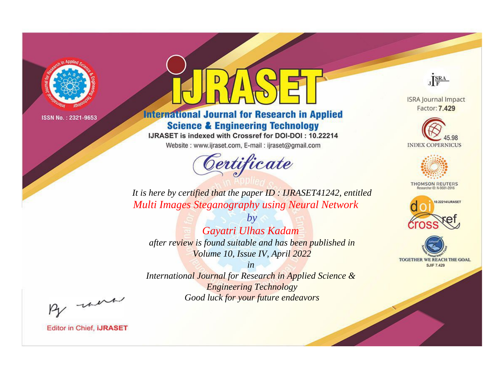

# **International Journal for Research in Applied Science & Engineering Technology**

IJRASET is indexed with Crossref for DOI-DOI: 10.22214

Website: www.ijraset.com, E-mail: ijraset@gmail.com



JERA

**ISRA Journal Impact** Factor: 7.429





**THOMSON REUTERS** 



TOGETHER WE REACH THE GOAL **SJIF 7.429** 

It is here by certified that the paper ID: IJRASET41242, entitled **Multi Images Steganography using Neural Network** 

Gayatri Ulhas Kadam after review is found suitable and has been published in Volume 10, Issue IV, April 2022

 $b\nu$ 

 $in$ International Journal for Research in Applied Science & **Engineering Technology** Good luck for your future endeavors

By morn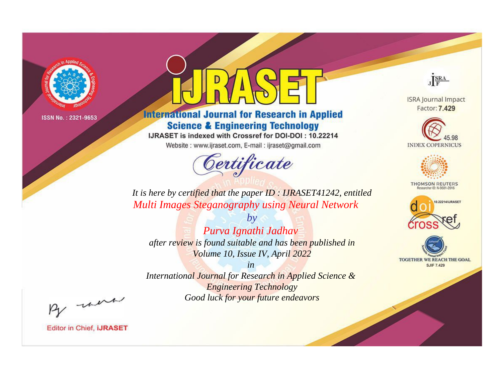

# **International Journal for Research in Applied Science & Engineering Technology**

IJRASET is indexed with Crossref for DOI-DOI: 10.22214

Website: www.ijraset.com, E-mail: ijraset@gmail.com



JERA

**ISRA Journal Impact** Factor: 7.429





**THOMSON REUTERS** 



TOGETHER WE REACH THE GOAL **SJIF 7.429** 

It is here by certified that the paper ID: IJRASET41242, entitled **Multi Images Steganography using Neural Network** 

Purva Ignathi Jadhav after review is found suitable and has been published in Volume 10, Issue IV, April 2022

 $b\nu$ 

 $in$ International Journal for Research in Applied Science & **Engineering Technology** Good luck for your future endeavors

By morn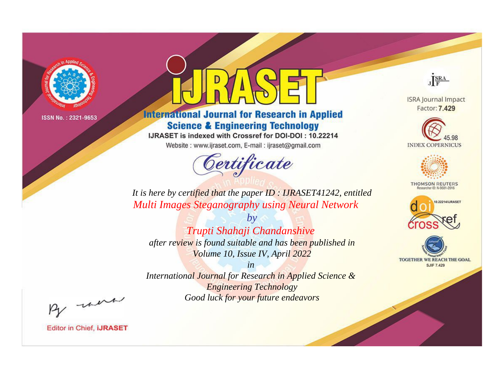

# **International Journal for Research in Applied Science & Engineering Technology**

IJRASET is indexed with Crossref for DOI-DOI: 10.22214

Website: www.ijraset.com, E-mail: ijraset@gmail.com



JERA

**ISRA Journal Impact** Factor: 7.429





**THOMSON REUTERS** 



TOGETHER WE REACH THE GOAL **SJIF 7.429** 

It is here by certified that the paper ID: IJRASET41242, entitled **Multi Images Steganography using Neural Network** 

 $b\nu$ Trupti Shahaji Chandanshive after review is found suitable and has been published in Volume 10, Issue IV, April 2022

 $in$ International Journal for Research in Applied Science & **Engineering Technology** Good luck for your future endeavors

By morn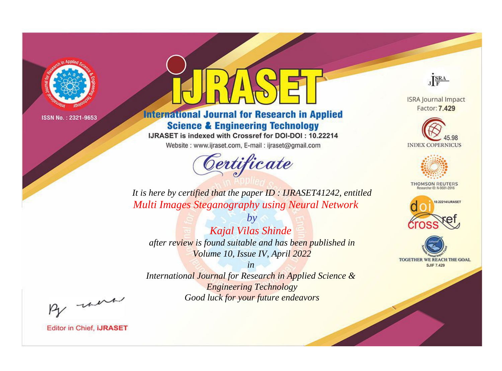

# **International Journal for Research in Applied Science & Engineering Technology**

IJRASET is indexed with Crossref for DOI-DOI: 10.22214

Website: www.ijraset.com, E-mail: ijraset@gmail.com



JERA

**ISRA Journal Impact** Factor: 7.429





**THOMSON REUTERS** 



TOGETHER WE REACH THE GOAL **SJIF 7.429** 

*It is here by certified that the paper ID : IJRASET41242, entitled Multi Images Steganography using Neural Network*

*Kajal Vilas Shinde after review is found suitable and has been published in Volume 10, Issue IV, April 2022*

*by*

*in* 

*International Journal for Research in Applied Science & Engineering Technology Good luck for your future endeavors*

By morn